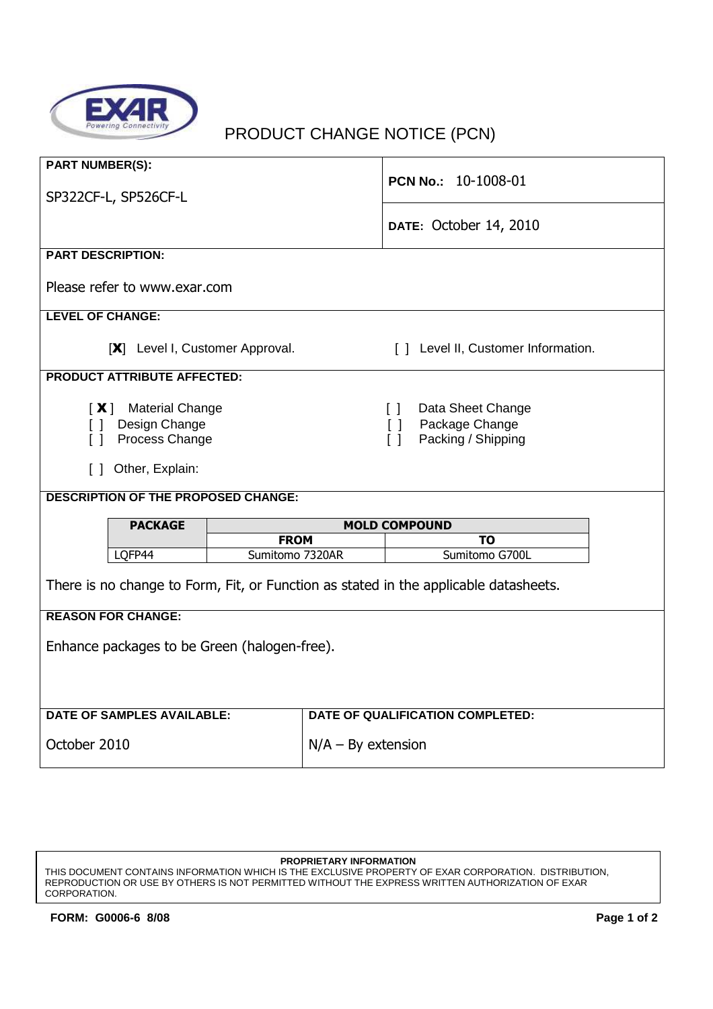

## PRODUCT CHANGE NOTICE (PCN)

| <b>PART NUMBER(S):</b>                                                                                   |                                | PCN No.: 10-1008-01                                                                              |  |
|----------------------------------------------------------------------------------------------------------|--------------------------------|--------------------------------------------------------------------------------------------------|--|
| SP322CF-L, SP526CF-L                                                                                     |                                | DATE: October 14, 2010                                                                           |  |
| <b>PART DESCRIPTION:</b>                                                                                 |                                |                                                                                                  |  |
| Please refer to www.exar.com                                                                             |                                |                                                                                                  |  |
| <b>LEVEL OF CHANGE:</b>                                                                                  |                                |                                                                                                  |  |
| [X] Level I, Customer Approval.<br>[] Level II, Customer Information.                                    |                                |                                                                                                  |  |
| <b>PRODUCT ATTRIBUTE AFFECTED:</b>                                                                       |                                |                                                                                                  |  |
| [X] Material Change<br>Design Change<br>$\perp$<br>Process Change<br>$\Box$<br>Other, Explain:<br>$\Box$ |                                | Data Sheet Change<br>$\Box$<br>Package Change<br>$\Box$<br>$\lceil \rceil$<br>Packing / Shipping |  |
| <b>DESCRIPTION OF THE PROPOSED CHANGE:</b>                                                               |                                |                                                                                                  |  |
| <b>PACKAGE</b>                                                                                           | <b>MOLD COMPOUND</b>           |                                                                                                  |  |
| LQFP44                                                                                                   | <b>FROM</b><br>Sumitomo 7320AR | ΤO<br>Sumitomo G700L                                                                             |  |
|                                                                                                          |                                |                                                                                                  |  |
| There is no change to Form, Fit, or Function as stated in the applicable datasheets.                     |                                |                                                                                                  |  |
| <b>REASON FOR CHANGE:</b>                                                                                |                                |                                                                                                  |  |
| Enhance packages to be Green (halogen-free).                                                             |                                |                                                                                                  |  |
|                                                                                                          |                                |                                                                                                  |  |
|                                                                                                          |                                |                                                                                                  |  |
| <b>DATE OF SAMPLES AVAILABLE:</b>                                                                        |                                | <b>DATE OF QUALIFICATION COMPLETED:</b>                                                          |  |
| October 2010                                                                                             |                                | $N/A - By extension$                                                                             |  |

THIS DOCUMENT CONTAINS INFORMATION WHICH IS THE EXCLUSIVE PROPERTY OF EXAR CORPORATION. DISTRIBUTION, REPRODUCTION OR USE BY OTHERS IS NOT PERMITTED WITHOUT THE EXPRESS WRITTEN AUTHORIZATION OF EXAR CORPORATION.